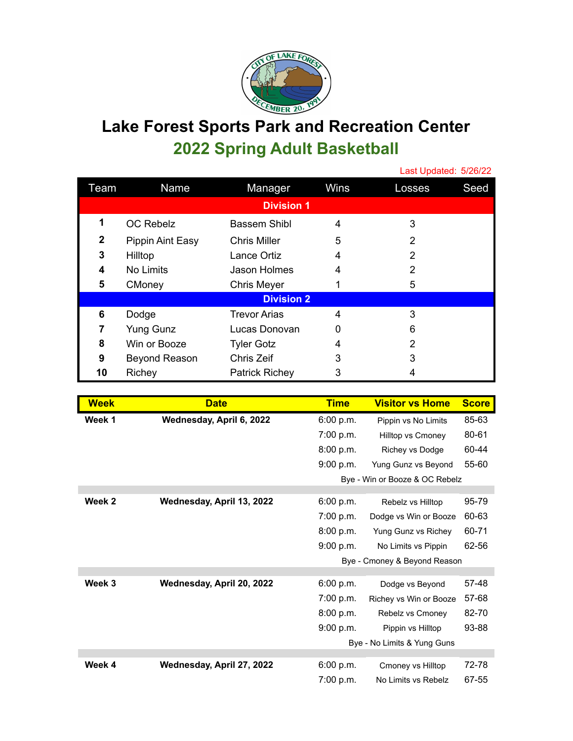

## **Lake Forest Sports Park and Recreation Center 2022 Spring Adult Basketball**

|                   |                      |                       |      | Last Updated: 5/26/22 |      |
|-------------------|----------------------|-----------------------|------|-----------------------|------|
| Team              | Name                 | Manager               | Wins | Losses                | Seed |
| <b>Division 1</b> |                      |                       |      |                       |      |
| 1                 | <b>OC Rebelz</b>     | Bassem Shibl          | 4    | 3                     |      |
| $\overline{2}$    | Pippin Aint Easy     | <b>Chris Miller</b>   | 5    | 2                     |      |
| 3                 | Hilltop              | Lance Ortiz           | 4    | 2                     |      |
| 4                 | No Limits            | Jason Holmes          | 4    | 2                     |      |
| 5                 | CMoney               | <b>Chris Meyer</b>    |      | 5                     |      |
| <b>Division 2</b> |                      |                       |      |                       |      |
| 6                 | Dodge                | <b>Trevor Arias</b>   | 4    | 3                     |      |
| 7                 | <b>Yung Gunz</b>     | Lucas Donovan         | 0    | 6                     |      |
| 8                 | Win or Booze         | <b>Tyler Gotz</b>     | 4    | 2                     |      |
| 9                 | <b>Beyond Reason</b> | Chris Zeif            | 3    | 3                     |      |
| 10                | Richey               | <b>Patrick Richey</b> | 3    |                       |      |

| <b>Week</b> | <b>Date</b>               | <b>Time</b> | <b>Visitor vs Home</b>         | <b>Score</b> |
|-------------|---------------------------|-------------|--------------------------------|--------------|
| Week 1      | Wednesday, April 6, 2022  | 6:00 p.m.   | Pippin vs No Limits            | 85-63        |
|             |                           | 7:00 p.m.   | <b>Hilltop vs Cmoney</b>       | 80-61        |
|             |                           | 8:00 p.m.   | Richey vs Dodge                | 60-44        |
|             |                           | 9:00 p.m.   | Yung Gunz vs Beyond            | 55-60        |
|             |                           |             | Bye - Win or Booze & OC Rebelz |              |
| Week 2      | Wednesday, April 13, 2022 | 6:00 p.m.   | Rebelz vs Hilltop              | 95-79        |
|             |                           | 7:00 p.m.   | Dodge vs Win or Booze          | 60-63        |
|             |                           | 8:00 p.m.   | Yung Gunz vs Richey            | 60-71        |
|             |                           | 9:00 p.m.   | No Limits vs Pippin            | 62-56        |
|             |                           |             | Bye - Cmoney & Beyond Reason   |              |
|             |                           |             |                                |              |
| Week 3      | Wednesday, April 20, 2022 | 6:00 p.m.   | Dodge vs Beyond                | 57-48        |
|             |                           | 7:00 p.m.   | Richey vs Win or Booze         | 57-68        |
|             |                           | 8:00 p.m.   | Rebelz vs Cmoney               | 82-70        |
|             |                           | 9:00 p.m.   | Pippin vs Hilltop              | 93-88        |
|             |                           |             | Bye - No Limits & Yung Guns    |              |
|             |                           |             |                                |              |
| Week 4      | Wednesday, April 27, 2022 | 6:00 p.m.   | Cmoney vs Hilltop              | 72-78        |
|             |                           | 7:00 p.m.   | No Limits vs Rebelz            | 67-55        |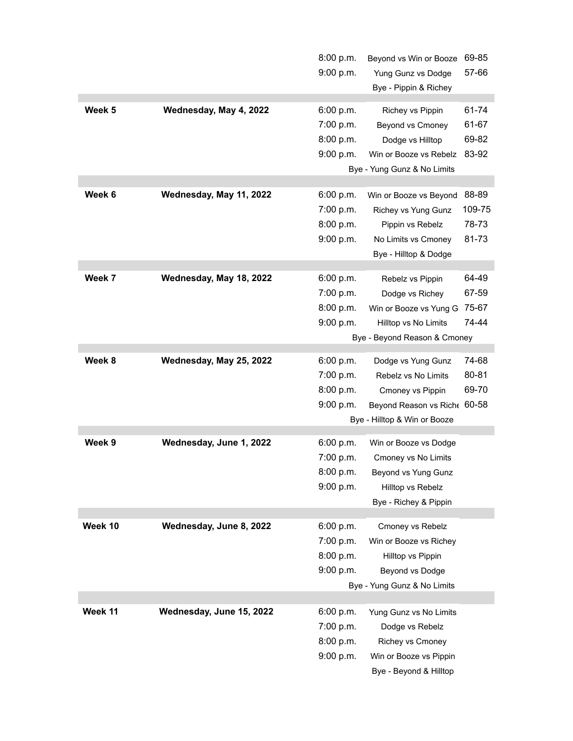|         |                          | 8:00 p.m.                    | Beyond vs Win or Booze       | 69-85  |
|---------|--------------------------|------------------------------|------------------------------|--------|
|         |                          | 9:00 p.m.                    | Yung Gunz vs Dodge           | 57-66  |
|         |                          |                              | Bye - Pippin & Richey        |        |
| Week 5  | Wednesday, May 4, 2022   | 6:00 p.m.                    | Richey vs Pippin             | 61-74  |
|         |                          | 7:00 p.m.                    | Beyond vs Cmoney             | 61-67  |
|         |                          | 8:00 p.m.                    | Dodge vs Hilltop             | 69-82  |
|         |                          |                              |                              | 83-92  |
|         |                          | 9:00 p.m.                    | Win or Booze vs Rebelz       |        |
|         |                          |                              | Bye - Yung Gunz & No Limits  |        |
| Week 6  | Wednesday, May 11, 2022  | 6:00 p.m.                    | Win or Booze vs Beyond       | 88-89  |
|         |                          | 7:00 p.m.                    | Richey vs Yung Gunz          | 109-75 |
|         |                          | 8:00 p.m.                    | Pippin vs Rebelz             | 78-73  |
|         |                          | 9:00 p.m.                    | No Limits vs Cmoney          | 81-73  |
|         |                          |                              | Bye - Hilltop & Dodge        |        |
|         |                          |                              |                              |        |
| Week 7  | Wednesday, May 18, 2022  | 6:00 p.m.                    | Rebelz vs Pippin             | 64-49  |
|         |                          | 7:00 p.m.                    | Dodge vs Richey              | 67-59  |
|         |                          | 8:00 p.m.                    | Win or Booze vs Yung G       | 75-67  |
|         |                          | 9:00 p.m.                    | Hilltop vs No Limits         | 74-44  |
|         |                          | Bye - Beyond Reason & Cmoney |                              |        |
| Week 8  | Wednesday, May 25, 2022  | 6:00 p.m.                    | Dodge vs Yung Gunz           | 74-68  |
|         |                          | 7:00 p.m.                    | Rebelz vs No Limits          | 80-81  |
|         |                          | 8:00 p.m.                    | Cmoney vs Pippin             | 69-70  |
|         |                          | 9:00 p.m.                    | Beyond Reason vs Riche 60-58 |        |
|         |                          |                              | Bye - Hilltop & Win or Booze |        |
|         |                          |                              |                              |        |
| Week 9  | Wednesday, June 1, 2022  | 6:00 p.m.                    | Win or Booze vs Dodge        |        |
|         |                          | 7:00 p.m.                    | Cmoney vs No Limits          |        |
|         |                          | 8:00 p.m.                    | Beyond vs Yung Gunz          |        |
|         |                          | 9:00 p.m.                    | Hilltop vs Rebelz            |        |
|         |                          |                              | Bye - Richey & Pippin        |        |
| Week 10 | Wednesday, June 8, 2022  |                              |                              |        |
|         |                          | 6:00 p.m.                    | Cmoney vs Rebelz             |        |
|         |                          | 7:00 p.m.                    | Win or Booze vs Richey       |        |
|         |                          | 8:00 p.m.                    | Hilltop vs Pippin            |        |
|         |                          | 9:00 p.m.                    | Beyond vs Dodge              |        |
|         |                          |                              | Bye - Yung Gunz & No Limits  |        |
| Week 11 | Wednesday, June 15, 2022 | 6:00 p.m.                    | Yung Gunz vs No Limits       |        |
|         |                          | 7:00 p.m.                    | Dodge vs Rebelz              |        |
|         |                          | 8:00 p.m.                    | Richey vs Cmoney             |        |
|         |                          | 9:00 p.m.                    | Win or Booze vs Pippin       |        |
|         |                          |                              | Bye - Beyond & Hilltop       |        |
|         |                          |                              |                              |        |